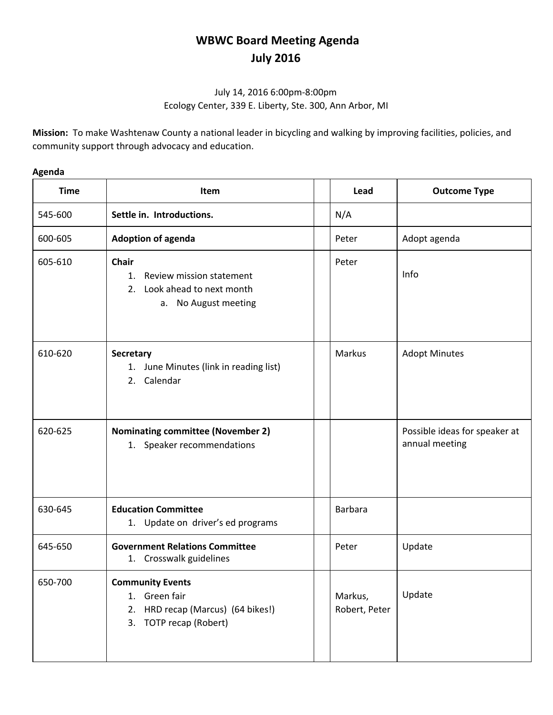## **WBWC Board Meeting Agenda July 2016**

## July 14, 2016 6:00pm-8:00pm Ecology Center, 339 E. Liberty, Ste. 300, Ann Arbor, MI

**Mission:** To make Washtenaw County a national leader in bicycling and walking by improving facilities, policies, and community support through advocacy and education.

| Time    |                 |
|---------|-----------------|
| 545-600 | Settle in.      |
| 600-605 | <b>Adoption</b> |
| 605-610 | <b>Chair</b>    |

## **Agenda**

| <b>Time</b> | Item                                                                                                       | Lead                     | <b>Outcome Type</b>                             |
|-------------|------------------------------------------------------------------------------------------------------------|--------------------------|-------------------------------------------------|
| 545-600     | Settle in. Introductions.                                                                                  | N/A                      |                                                 |
| 600-605     | <b>Adoption of agenda</b>                                                                                  | Peter                    | Adopt agenda                                    |
| 605-610     | Chair<br>Review mission statement<br>1.<br>Look ahead to next month<br>2.<br>a. No August meeting          | Peter                    | Info                                            |
| 610-620     | <b>Secretary</b><br>1. June Minutes (link in reading list)<br>2. Calendar                                  | Markus                   | <b>Adopt Minutes</b>                            |
| 620-625     | <b>Nominating committee (November 2)</b><br>1. Speaker recommendations                                     |                          | Possible ideas for speaker at<br>annual meeting |
| 630-645     | <b>Education Committee</b><br>1. Update on driver's ed programs                                            | <b>Barbara</b>           |                                                 |
| 645-650     | <b>Government Relations Committee</b><br>1. Crosswalk guidelines                                           | Peter                    | Update                                          |
| 650-700     | <b>Community Events</b><br>1. Green fair<br>HRD recap (Marcus) (64 bikes!)<br>2.<br>3. TOTP recap (Robert) | Markus,<br>Robert, Peter | Update                                          |